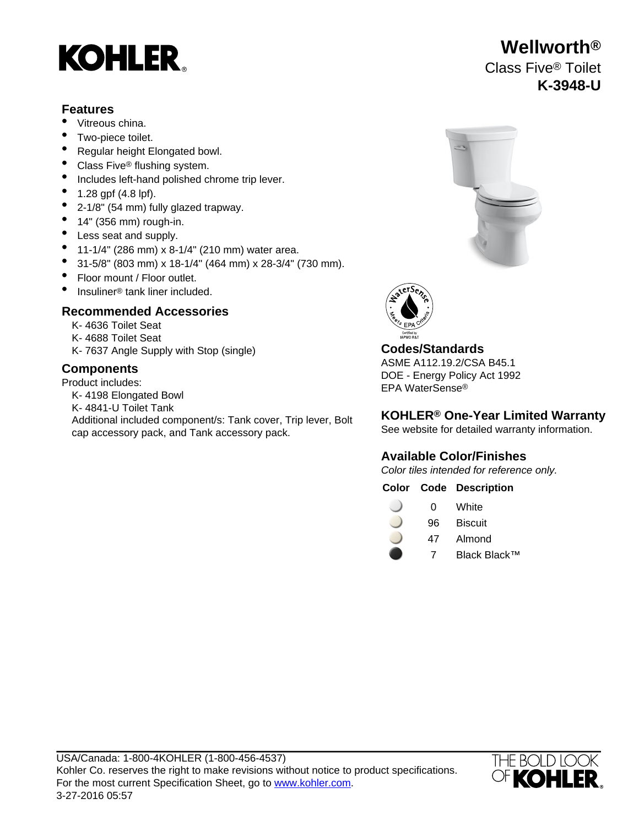# **KOHLER**

#### **Features**

- Vitreous china.
- Two-piece toilet.
- Regular height Elongated bowl.
- Class Five<sup>®</sup> flushing system.
- Includes left-hand polished chrome trip lever.
- 1.28 gpf (4.8 lpf).
- 2-1/8" (54 mm) fully glazed trapway.
- $\bullet$  14" (356 mm) rough-in.
- Less seat and supply.
- 11-1/4" (286 mm) x 8-1/4" (210 mm) water area.
- 31-5/8" (803 mm) x 18-1/4" (464 mm) x 28-3/4" (730 mm).
- Floor mount / Floor outlet.
- Insuliner<sup>®</sup> tank liner included.

### **Recommended Accessories**

- K- 4636 Toilet Seat
- K- 4688 Toilet Seat
- K- 7637 Angle Supply with Stop (single) **Codes/Standards**

Product includes:

- K- 4198 Elongated Bowl
- K- 4841-U Toilet Tank
- Additional included component/s: Tank cover, Trip lever, Bolt cap accessory pack, and Tank accessory pack.





ASME A112.19.2/CSA B45.1 **Components** DOE - Energy Policy Act 1992 EPA WaterSense®

### **KOHLER® One-Year Limited Warranty**

See website for detailed warranty information.

## **Available Color/Finishes**

Color tiles intended for reference only.

#### **Color Code Description**

| 0 | White |
|---|-------|
|   |       |

- 96 Biscuit
- 47 Almond
	- 7 Black Black™



## **Wellworth®** Class Five® Toilet **K-3948-U**